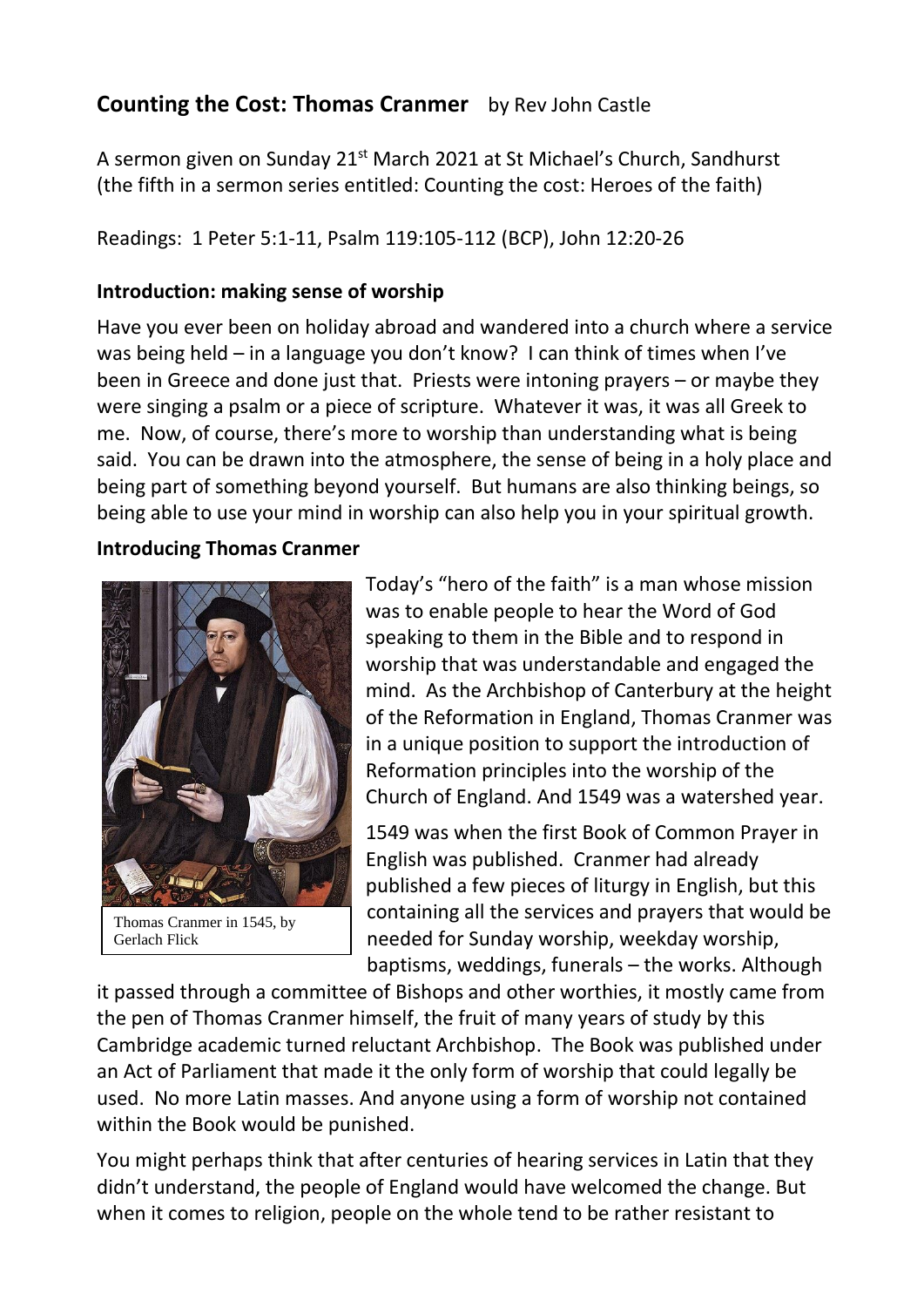# **Counting the Cost: Thomas Cranmer** by Rev John Castle

A sermon given on Sunday 21<sup>st</sup> March 2021 at St Michael's Church, Sandhurst (the fifth in a sermon series entitled: Counting the cost: Heroes of the faith)

Readings: 1 Peter 5:1-11, Psalm 119:105-112 (BCP), John 12:20-26

#### **Introduction: making sense of worship**

Have you ever been on holiday abroad and wandered into a church where a service was being held – in a language you don't know? I can think of times when I've been in Greece and done just that. Priests were intoning prayers – or maybe they were singing a psalm or a piece of scripture. Whatever it was, it was all Greek to me. Now, of course, there's more to worship than understanding what is being said. You can be drawn into the atmosphere, the sense of being in a holy place and being part of something beyond yourself. But humans are also thinking beings, so being able to use your mind in worship can also help you in your spiritual growth.

#### **Introducing Thomas Cranmer**



Thomas Cranmer in 1545, by Gerlach Flick

Today's "hero of the faith" is a man whose mission was to enable people to hear the Word of God speaking to them in the Bible and to respond in worship that was understandable and engaged the mind. As the Archbishop of Canterbury at the height of the Reformation in England, Thomas Cranmer was in a unique position to support the introduction of Reformation principles into the worship of the Church of England. And 1549 was a watershed year.

1549 was when the first Book of Common Prayer in English was published. Cranmer had already published a few pieces of liturgy in English, but this containing all the services and prayers that would be needed for Sunday worship, weekday worship, baptisms, weddings, funerals – the works. Although

it passed through a committee of Bishops and other worthies, it mostly came from the pen of Thomas Cranmer himself, the fruit of many years of study by this Cambridge academic turned reluctant Archbishop. The Book was published under an Act of Parliament that made it the only form of worship that could legally be used. No more Latin masses. And anyone using a form of worship not contained within the Book would be punished.

You might perhaps think that after centuries of hearing services in Latin that they didn't understand, the people of England would have welcomed the change. But when it comes to religion, people on the whole tend to be rather resistant to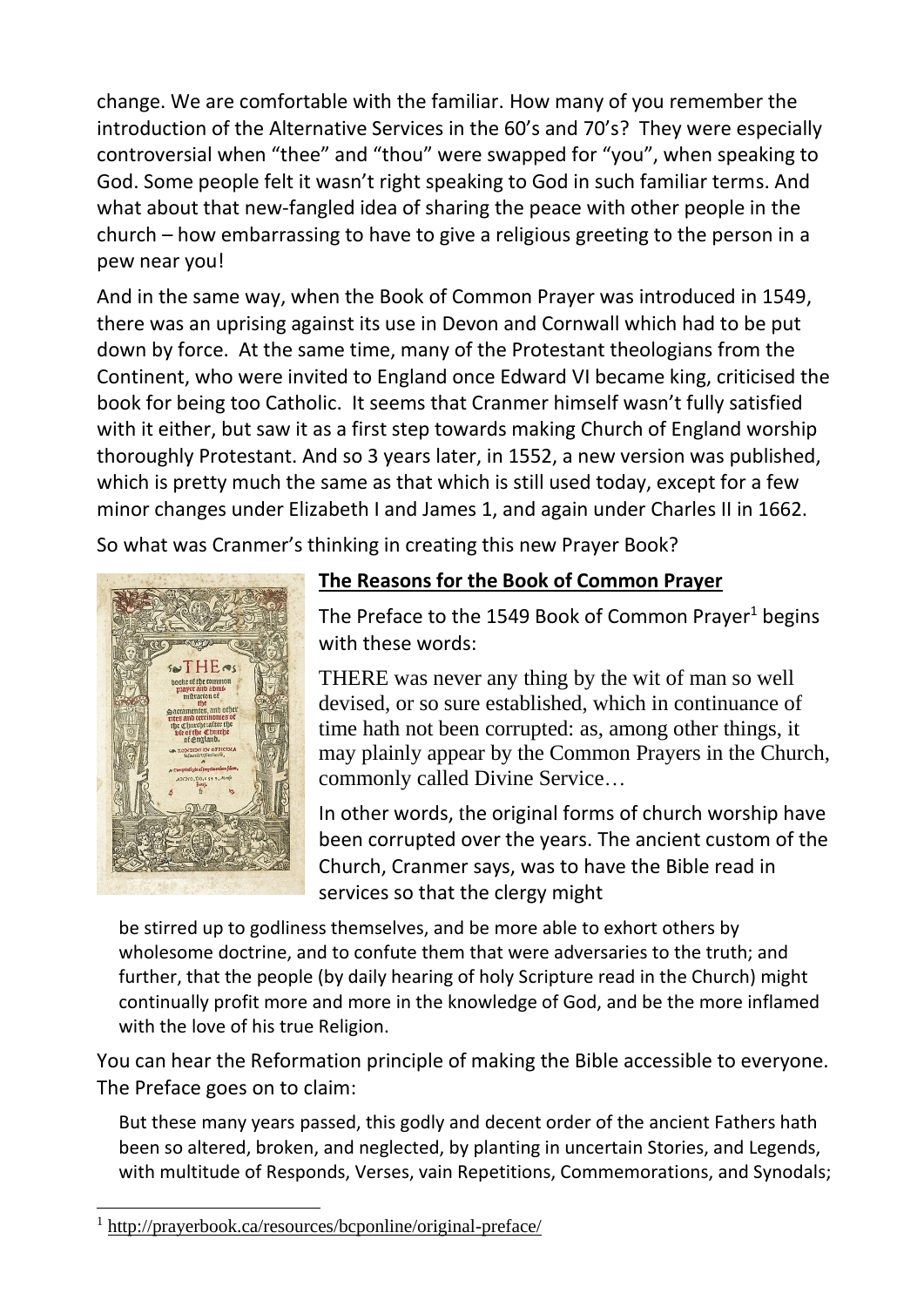change. We are comfortable with the familiar. How many of you remember the introduction of the Alternative Services in the 60's and 70's? They were especially controversial when "thee" and "thou" were swapped for "you", when speaking to God. Some people felt it wasn't right speaking to God in such familiar terms. And what about that new-fangled idea of sharing the peace with other people in the church – how embarrassing to have to give a religious greeting to the person in a pew near you!

And in the same way, when the Book of Common Prayer was introduced in 1549, there was an uprising against its use in Devon and Cornwall which had to be put down by force. At the same time, many of the Protestant theologians from the Continent, who were invited to England once Edward VI became king, criticised the book for being too Catholic. It seems that Cranmer himself wasn't fully satisfied with it either, but saw it as a first step towards making Church of England worship thoroughly Protestant. And so 3 years later, in 1552, a new version was published, which is pretty much the same as that which is still used today, except for a few minor changes under Elizabeth I and James 1, and again under Charles II in 1662.

So what was Cranmer's thinking in creating this new Prayer Book?



## **The Reasons for the Book of Common Prayer**

The Preface to the 1549 Book of Common Prayer<sup>1</sup> begins with these words:

THERE was never any thing by the wit of man so well devised, or so sure established, which in continuance of time hath not been corrupted: as, among other things, it may plainly appear by the Common Prayers in the Church, commonly called Divine Service…

In other words, the original forms of church worship have been corrupted over the years. The ancient custom of the Church, Cranmer says, was to have the Bible read in services so that the clergy might

be stirred up to godliness themselves, and be more able to exhort others by wholesome doctrine, and to confute them that were adversaries to the truth; and further, that the people (by daily hearing of holy Scripture read in the Church) might continually profit more and more in the knowledge of God, and be the more inflamed with the love of his true Religion.

You can hear the Reformation principle of making the Bible accessible to everyone. The Preface goes on to claim:

But these many years passed, this godly and decent order of the ancient Fathers hath been so altered, broken, and neglected, by planting in uncertain Stories, and Legends, with multitude of Responds, Verses, vain Repetitions, Commemorations, and Synodals;

<sup>1</sup> <http://prayerbook.ca/resources/bcponline/original-preface/>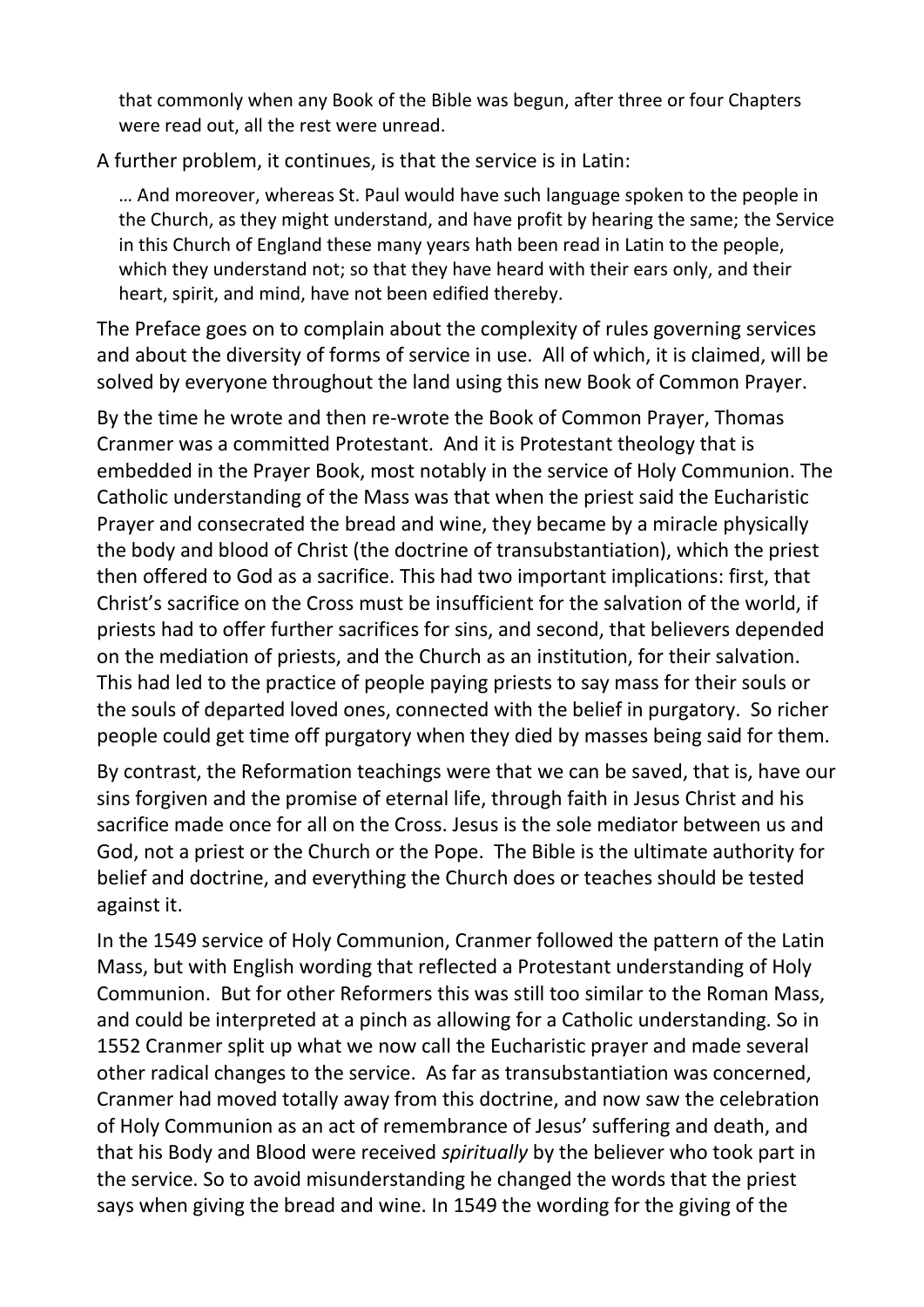that commonly when any Book of the Bible was begun, after three or four Chapters were read out, all the rest were unread.

A further problem, it continues, is that the service is in Latin:

… And moreover, whereas St. Paul would have such language spoken to the people in the Church, as they might understand, and have profit by hearing the same; the Service in this Church of England these many years hath been read in Latin to the people, which they understand not; so that they have heard with their ears only, and their heart, spirit, and mind, have not been edified thereby.

The Preface goes on to complain about the complexity of rules governing services and about the diversity of forms of service in use. All of which, it is claimed, will be solved by everyone throughout the land using this new Book of Common Prayer.

By the time he wrote and then re-wrote the Book of Common Prayer, Thomas Cranmer was a committed Protestant. And it is Protestant theology that is embedded in the Prayer Book, most notably in the service of Holy Communion. The Catholic understanding of the Mass was that when the priest said the Eucharistic Prayer and consecrated the bread and wine, they became by a miracle physically the body and blood of Christ (the doctrine of transubstantiation), which the priest then offered to God as a sacrifice. This had two important implications: first, that Christ's sacrifice on the Cross must be insufficient for the salvation of the world, if priests had to offer further sacrifices for sins, and second, that believers depended on the mediation of priests, and the Church as an institution, for their salvation. This had led to the practice of people paying priests to say mass for their souls or the souls of departed loved ones, connected with the belief in purgatory. So richer people could get time off purgatory when they died by masses being said for them.

By contrast, the Reformation teachings were that we can be saved, that is, have our sins forgiven and the promise of eternal life, through faith in Jesus Christ and his sacrifice made once for all on the Cross. Jesus is the sole mediator between us and God, not a priest or the Church or the Pope. The Bible is the ultimate authority for belief and doctrine, and everything the Church does or teaches should be tested against it.

In the 1549 service of Holy Communion, Cranmer followed the pattern of the Latin Mass, but with English wording that reflected a Protestant understanding of Holy Communion. But for other Reformers this was still too similar to the Roman Mass, and could be interpreted at a pinch as allowing for a Catholic understanding. So in 1552 Cranmer split up what we now call the Eucharistic prayer and made several other radical changes to the service. As far as transubstantiation was concerned, Cranmer had moved totally away from this doctrine, and now saw the celebration of Holy Communion as an act of remembrance of Jesus' suffering and death, and that his Body and Blood were received *spiritually* by the believer who took part in the service. So to avoid misunderstanding he changed the words that the priest says when giving the bread and wine. In 1549 the wording for the giving of the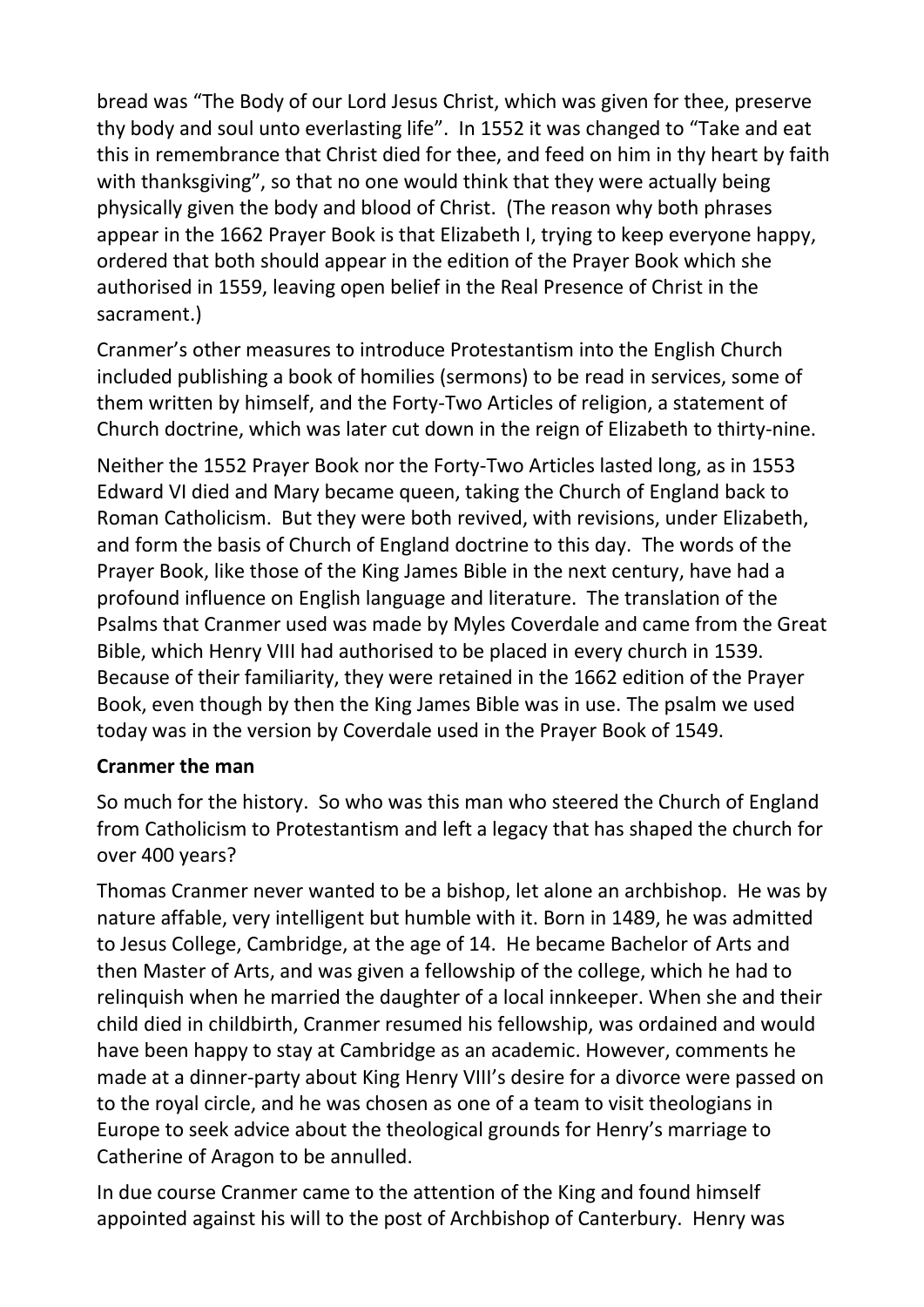bread was "The Body of our Lord Jesus Christ, which was given for thee, preserve thy body and soul unto everlasting life". In 1552 it was changed to "Take and eat this in remembrance that Christ died for thee, and feed on him in thy heart by faith with thanksgiving", so that no one would think that they were actually being physically given the body and blood of Christ. (The reason why both phrases appear in the 1662 Prayer Book is that Elizabeth I, trying to keep everyone happy, ordered that both should appear in the edition of the Prayer Book which she authorised in 1559, leaving open belief in the Real Presence of Christ in the sacrament.)

Cranmer's other measures to introduce Protestantism into the English Church included publishing a book of homilies (sermons) to be read in services, some of them written by himself, and the Forty-Two Articles of religion, a statement of Church doctrine, which was later cut down in the reign of Elizabeth to thirty-nine.

Neither the 1552 Prayer Book nor the Forty-Two Articles lasted long, as in 1553 Edward VI died and Mary became queen, taking the Church of England back to Roman Catholicism. But they were both revived, with revisions, under Elizabeth, and form the basis of Church of England doctrine to this day. The words of the Prayer Book, like those of the King James Bible in the next century, have had a profound influence on English language and literature. The translation of the Psalms that Cranmer used was made by Myles Coverdale and came from the Great Bible, which Henry VIII had authorised to be placed in every church in 1539. Because of their familiarity, they were retained in the 1662 edition of the Prayer Book, even though by then the King James Bible was in use. The psalm we used today was in the version by Coverdale used in the Prayer Book of 1549.

#### **Cranmer the man**

So much for the history. So who was this man who steered the Church of England from Catholicism to Protestantism and left a legacy that has shaped the church for over 400 years?

Thomas Cranmer never wanted to be a bishop, let alone an archbishop. He was by nature affable, very intelligent but humble with it. Born in 1489, he was admitted to Jesus College, Cambridge, at the age of 14. He became Bachelor of Arts and then Master of Arts, and was given a fellowship of the college, which he had to relinquish when he married the daughter of a local innkeeper. When she and their child died in childbirth, Cranmer resumed his fellowship, was ordained and would have been happy to stay at Cambridge as an academic. However, comments he made at a dinner-party about King Henry VIII's desire for a divorce were passed on to the royal circle, and he was chosen as one of a team to visit theologians in Europe to seek advice about the theological grounds for Henry's marriage to Catherine of Aragon to be annulled.

In due course Cranmer came to the attention of the King and found himself appointed against his will to the post of Archbishop of Canterbury. Henry was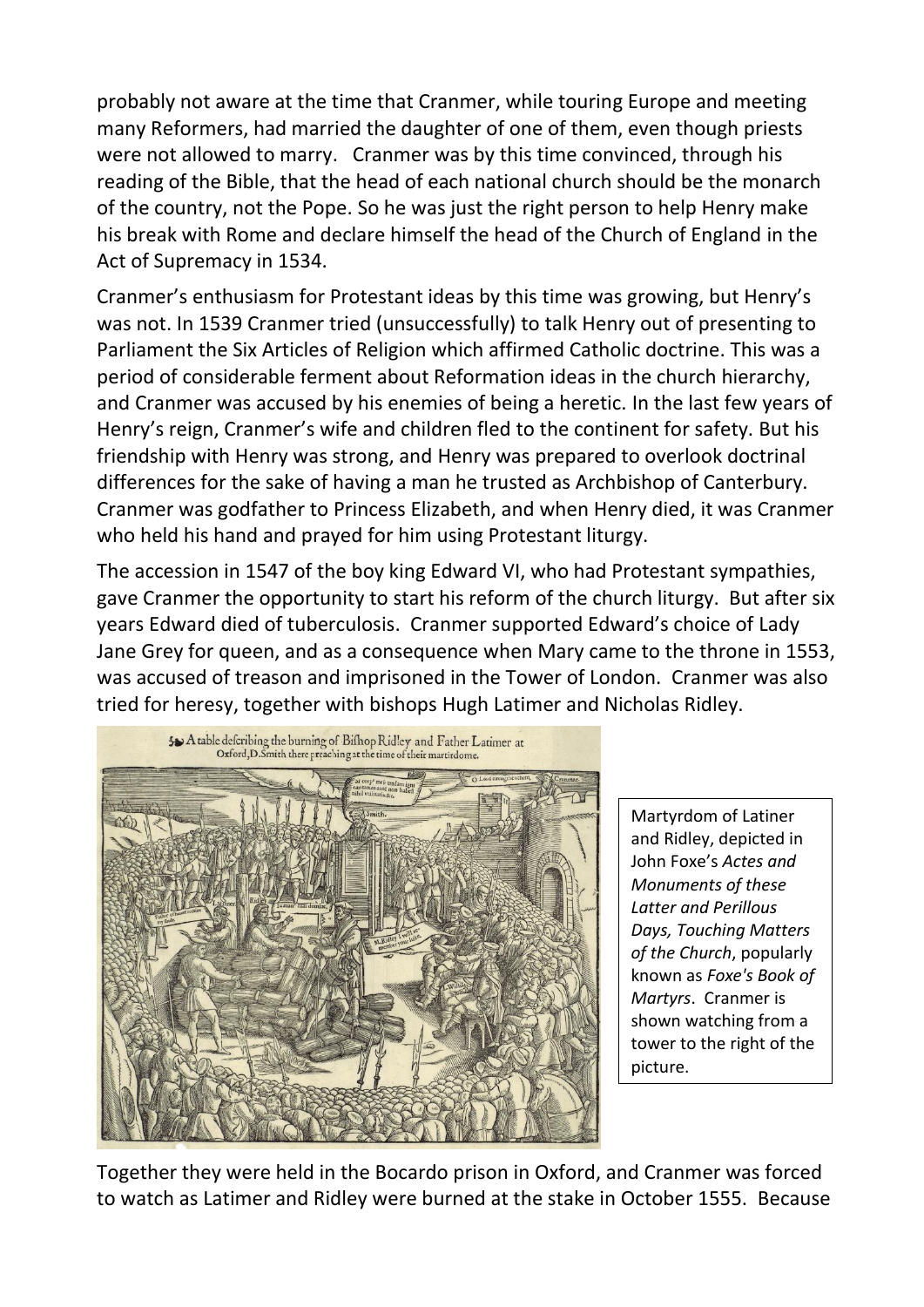probably not aware at the time that Cranmer, while touring Europe and meeting many Reformers, had married the daughter of one of them, even though priests were not allowed to marry. Cranmer was by this time convinced, through his reading of the Bible, that the head of each national church should be the monarch of the country, not the Pope. So he was just the right person to help Henry make his break with Rome and declare himself the head of the Church of England in the Act of Supremacy in 1534.

Cranmer's enthusiasm for Protestant ideas by this time was growing, but Henry's was not. In 1539 Cranmer tried (unsuccessfully) to talk Henry out of presenting to Parliament the Six Articles of Religion which affirmed Catholic doctrine. This was a period of considerable ferment about Reformation ideas in the church hierarchy, and Cranmer was accused by his enemies of being a heretic. In the last few years of Henry's reign, Cranmer's wife and children fled to the continent for safety. But his friendship with Henry was strong, and Henry was prepared to overlook doctrinal differences for the sake of having a man he trusted as Archbishop of Canterbury. Cranmer was godfather to Princess Elizabeth, and when Henry died, it was Cranmer who held his hand and prayed for him using Protestant liturgy.

The accession in 1547 of the boy king Edward VI, who had Protestant sympathies, gave Cranmer the opportunity to start his reform of the church liturgy. But after six years Edward died of tuberculosis. Cranmer supported Edward's choice of Lady Jane Grey for queen, and as a consequence when Mary came to the throne in 1553, was accused of treason and imprisoned in the Tower of London. Cranmer was also tried for heresy, together with bishops Hugh Latimer and Nicholas Ridley.



Martyrdom of Latiner and Ridley, depicted in John Foxe's *Actes and Monuments of these Latter and Perillous Days, Touching Matters of the Church*, popularly known as *Foxe's Book of Martyrs*. Cranmer is shown watching from a tower to the right of the picture.

Together they were held in the Bocardo prison in Oxford, and Cranmer was forced to watch as Latimer and Ridley were burned at the stake in October 1555. Because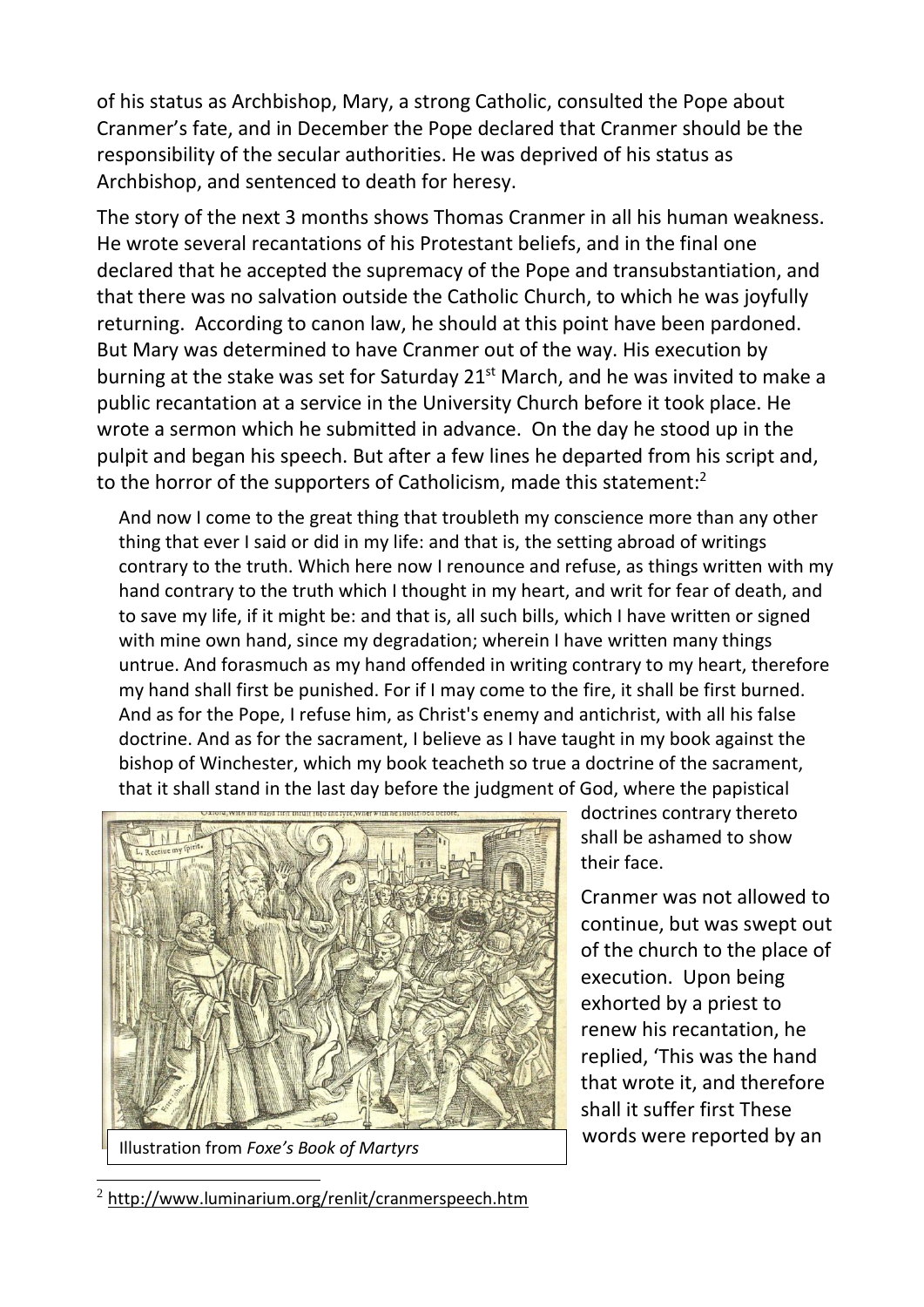of his status as Archbishop, Mary, a strong Catholic, consulted the Pope about Cranmer's fate, and in December the Pope declared that Cranmer should be the responsibility of the secular authorities. He was deprived of his status as Archbishop, and sentenced to death for heresy.

The story of the next 3 months shows Thomas Cranmer in all his human weakness. He wrote several recantations of his Protestant beliefs, and in the final one declared that he accepted the supremacy of the Pope and transubstantiation, and that there was no salvation outside the Catholic Church, to which he was joyfully returning. According to canon law, he should at this point have been pardoned. But Mary was determined to have Cranmer out of the way. His execution by burning at the stake was set for Saturday  $21<sup>st</sup>$  March, and he was invited to make a public recantation at a service in the University Church before it took place. He wrote a sermon which he submitted in advance. On the day he stood up in the pulpit and began his speech. But after a few lines he departed from his script and, to the horror of the supporters of Catholicism, made this statement:<sup>2</sup>

And now I come to the great thing that troubleth my conscience more than any other thing that ever I said or did in my life: and that is, the setting abroad of writings contrary to the truth. Which here now I renounce and refuse, as things written with my hand contrary to the truth which I thought in my heart, and writ for fear of death, and to save my life, if it might be: and that is, all such bills, which I have written or signed with mine own hand, since my degradation; wherein I have written many things untrue. And forasmuch as my hand offended in writing contrary to my heart, therefore my hand shall first be punished. For if I may come to the fire, it shall be first burned. And as for the Pope, I refuse him, as Christ's enemy and antichrist, with all his false doctrine. And as for the sacrament, I believe as I have taught in my book against the bishop of Winchester, which my book teacheth so true a doctrine of the sacrament, that it shall stand in the last day before the judgment of God, where the papistical



doctrines contrary thereto shall be ashamed to show their face.

Cranmer was not allowed to continue, but was swept out of the church to the place of execution. Upon being exhorted by a priest to renew his recantation, he replied, 'This was the hand that wrote it, and therefore shall it suffer first These words were reported by an

<sup>2</sup> <http://www.luminarium.org/renlit/cranmerspeech.htm>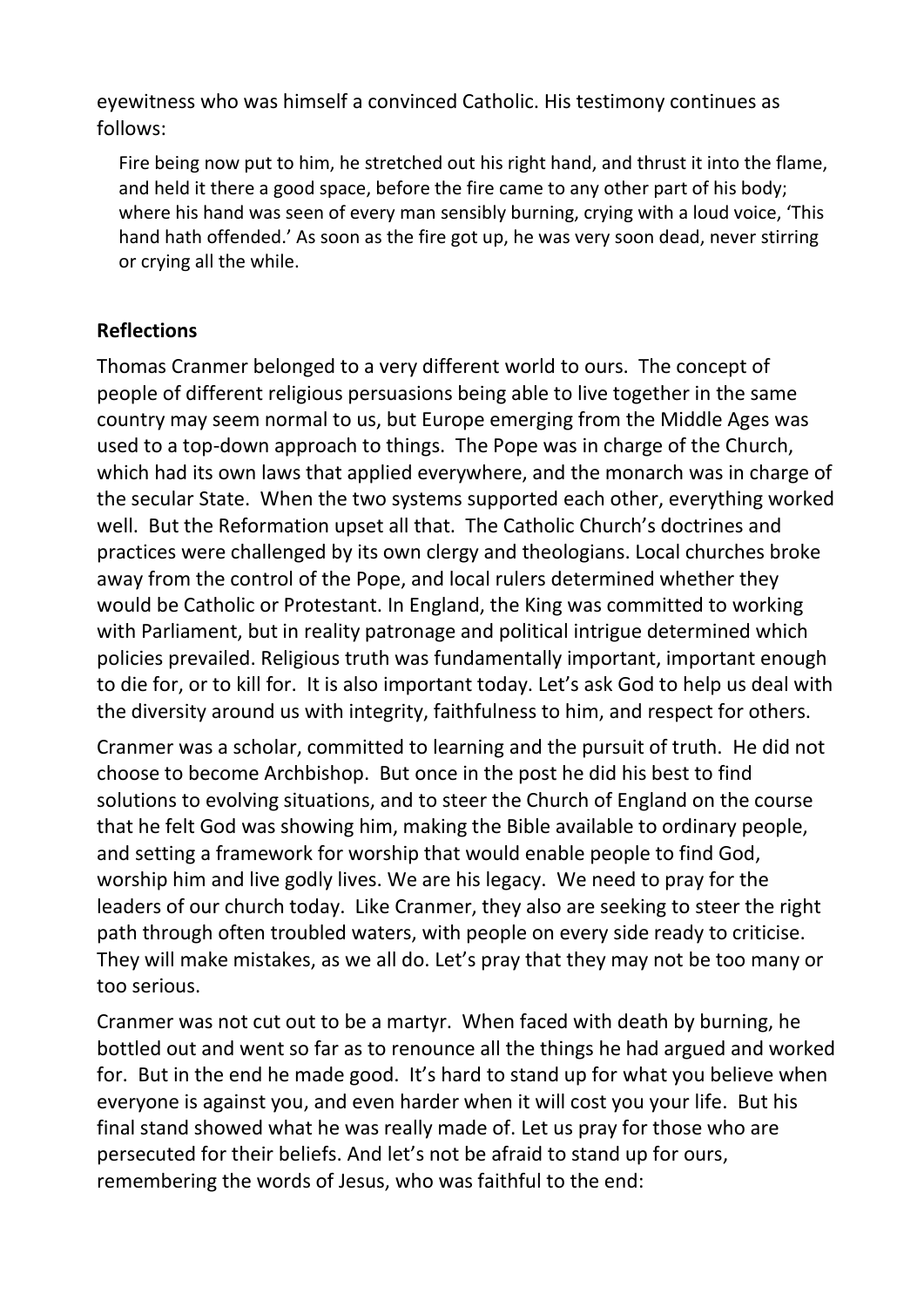eyewitness who was himself a convinced Catholic. His testimony continues as follows:

Fire being now put to him, he stretched out his right hand, and thrust it into the flame, and held it there a good space, before the fire came to any other part of his body; where his hand was seen of every man sensibly burning, crying with a loud voice, 'This hand hath offended.' As soon as the fire got up, he was very soon dead, never stirring or crying all the while.

#### **Reflections**

Thomas Cranmer belonged to a very different world to ours. The concept of people of different religious persuasions being able to live together in the same country may seem normal to us, but Europe emerging from the Middle Ages was used to a top-down approach to things. The Pope was in charge of the Church, which had its own laws that applied everywhere, and the monarch was in charge of the secular State. When the two systems supported each other, everything worked well. But the Reformation upset all that. The Catholic Church's doctrines and practices were challenged by its own clergy and theologians. Local churches broke away from the control of the Pope, and local rulers determined whether they would be Catholic or Protestant. In England, the King was committed to working with Parliament, but in reality patronage and political intrigue determined which policies prevailed. Religious truth was fundamentally important, important enough to die for, or to kill for. It is also important today. Let's ask God to help us deal with the diversity around us with integrity, faithfulness to him, and respect for others.

Cranmer was a scholar, committed to learning and the pursuit of truth. He did not choose to become Archbishop. But once in the post he did his best to find solutions to evolving situations, and to steer the Church of England on the course that he felt God was showing him, making the Bible available to ordinary people, and setting a framework for worship that would enable people to find God, worship him and live godly lives. We are his legacy. We need to pray for the leaders of our church today. Like Cranmer, they also are seeking to steer the right path through often troubled waters, with people on every side ready to criticise. They will make mistakes, as we all do. Let's pray that they may not be too many or too serious.

Cranmer was not cut out to be a martyr. When faced with death by burning, he bottled out and went so far as to renounce all the things he had argued and worked for. But in the end he made good. It's hard to stand up for what you believe when everyone is against you, and even harder when it will cost you your life. But his final stand showed what he was really made of. Let us pray for those who are persecuted for their beliefs. And let's not be afraid to stand up for ours, remembering the words of Jesus, who was faithful to the end: